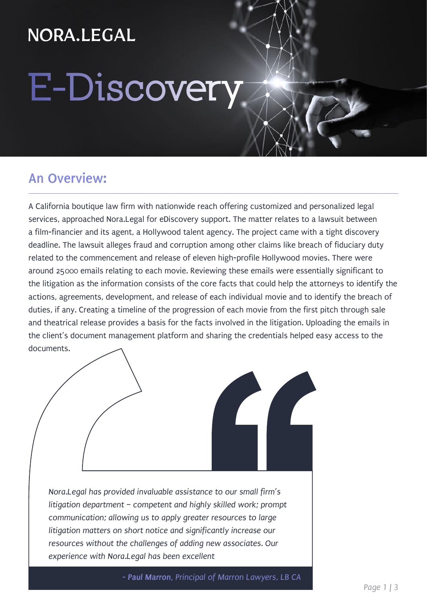## NORA.LEGAL

## **E-Discovery**

#### **An Overview:**

A California boutique law firm with nationwide reach offering customized and personalized legal services, approached Nora.Legal for eDiscovery support. The matter relates to a lawsuit between a film-financier and its agent, a Hollywood talent agency. The project came with a tight discovery deadline. The lawsuit alleges fraud and corruption among other claims like breach of fiduciary duty related to the commencement and release of eleven high-profile Hollywood movies. There were around 25000 emails relating to each movie. Reviewing these emails were essentially significant to the litigation as the information consists of the core facts that could help the attorneys to identify the actions, agreements, development, and release of each individual movie and to identify the breach of duties, if any. Creating a timeline of the progression of each movie from the first pitch through sale and theatrical release provides a basis for the facts involved in the litigation. Uploading the emails in the client's document management platform and sharing the credentials helped easy access to the documents.

*Nora.Legal has provided invaluable assistance to our small firm's litigation department – competent and highly skilled work; prompt communication; allowing us to apply greater resources to large litigation matters on short notice and significantly increase our resources without the challenges of adding new associates. Our experience with Nora.Legal has been excellent*

*- Paul Marron, Principal of Marron Lawyers, LB CA*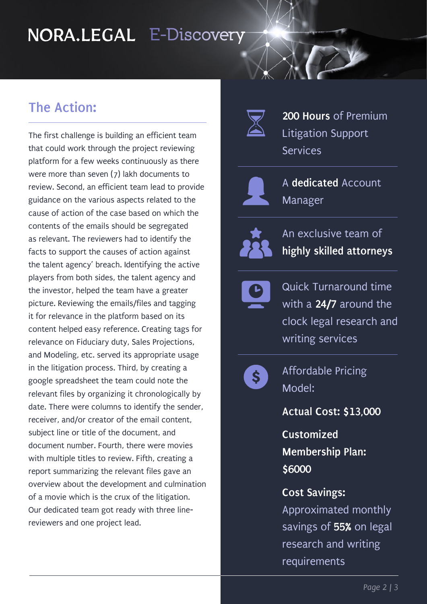## **E-Discovery**

#### **The Action:**

The first challenge is building an efficient team that could work through the project reviewing platform for a few weeks continuously as there were more than seven (7) lakh documents to review. Second, an efficient team lead to provide guidance on the various aspects related to the cause of action of the case based on which the contents of the emails should be segregated as relevant. The reviewers had to identify the facts to support the causes of action against the talent agency' breach. Identifying the active players from both sides, the talent agency and the investor, helped the team have a greater picture. Reviewing the emails/files and tagging it for relevance in the platform based on its content helped easy reference. Creating tags for relevance on Fiduciary duty, Sales Projections, and Modeling, etc. served its appropriate usage in the litigation process. Third, by creating a google spreadsheet the team could note the relevant files by organizing it chronologically by date. There were columns to identify the sender, receiver, and/or creator of the email content, subject line or title of the document, and document number. Fourth, there were movies with multiple titles to review. Fifth, creating a report summarizing the relevant files gave an overview about the development and culmination of a movie which is the crux of the litigation. Our dedicated team got ready with three linereviewers and one project lead.



**200 Hours** of Premium Litigation Support Services



A **dedicated** Account Manager



An exclusive team of **highly skilled attorneys**

Quick Turnaround time with a **24/7** around the clock legal research and writing services



Affordable Pricing Model:

**Actual Cost: \$13,000** 

**Customized Membership Plan: \$6000**

**Cost Savings:** Approximated monthly savings of **55%** on legal research and writing requirements